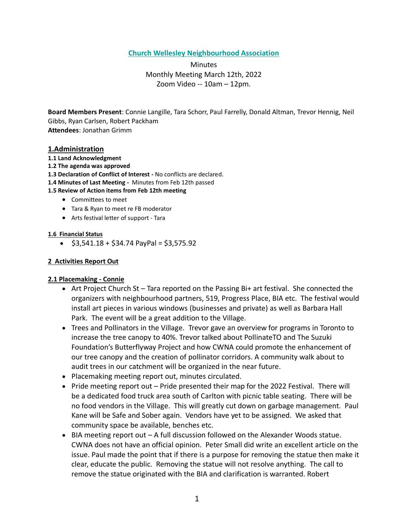# **Church Wellesley Neighbourhood Association**

Minutes Monthly Meeting March 12th, 2022 Zoom Video -- 10am – 12pm.

**Board Members Present**: Connie Langille, Tara Schorr, Paul Farrelly, Donald Altman, Trevor Hennig, Neil Gibbs, Ryan Carlsen, Robert Packham **Attendees**: Jonathan Grimm

### **1.Administration**

- **1.1 Land Acknowledgment**
- **1.2 The agenda was approved**
- **1.3 Declaration of Conflict of Interest -** No conflicts are declared.
- **1.4 Minutes of Last Meeting -** Minutes from Feb 12th passed

#### **1.5 Review of Action items from Feb 12th meeting**

- Committees to meet
- Tara & Ryan to meet re FB moderator
- Arts festival letter of support Tara

#### **1.6 Financial Status**

 $\bullet$  \$3,541.18 + \$34.74 PayPal = \$3,575.92

### **2 Activities Report Out**

### **2.1 Placemaking - Connie**

- Art Project Church St Tara reported on the Passing Bi+ art festival. She connected the organizers with neighbourhood partners, 519, Progress Place, BIA etc. The festival would install art pieces in various windows (businesses and private) as well as Barbara Hall Park. The event will be a great addition to the Village.
- Trees and Pollinators in the Village. Trevor gave an overview for programs in Toronto to increase the tree canopy to 40%. Trevor talked about PollinateTO and The Suzuki Foundation's Butterflyway Project and how CWNA could promote the enhancement of our tree canopy and the creation of pollinator corridors. A community walk about to audit trees in our catchment will be organized in the near future.
- Placemaking meeting report out, minutes circulated.
- Pride meeting report out Pride presented their map for the 2022 Festival. There will be a dedicated food truck area south of Carlton with picnic table seating. There will be no food vendors in the Village. This will greatly cut down on garbage management. Paul Kane will be Safe and Sober again. Vendors have yet to be assigned. We asked that community space be available, benches etc.
- BIA meeting report out A full discussion followed on the Alexander Woods statue. CWNA does not have an official opinion. Peter Small did write an excellent article on the issue. Paul made the point that if there is a purpose for removing the statue then make it clear, educate the public. Removing the statue will not resolve anything. The call to remove the statue originated with the BIA and clarification is warranted. Robert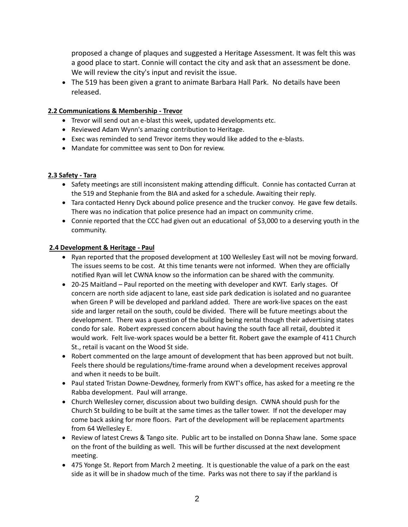proposed a change of plaques and suggested a Heritage Assessment. It was felt this was a good place to start. Connie will contact the city and ask that an assessment be done. We will review the city's input and revisit the issue.

• The 519 has been given a grant to animate Barbara Hall Park. No details have been released.

# **2.2 Communications & Membership - Trevor**

- Trevor will send out an e-blast this week, updated developments etc.
- Reviewed Adam Wynn's amazing contribution to Heritage.
- Exec was reminded to send Trevor items they would like added to the e-blasts.
- Mandate for committee was sent to Don for review.

### **2.3 Safety - Tara**

- Safety meetings are still inconsistent making attending difficult. Connie has contacted Curran at the 519 and Stephanie from the BIA and asked for a schedule. Awaiting their reply.
- Tara contacted Henry Dyck abound police presence and the trucker convoy. He gave few details. There was no indication that police presence had an impact on community crime.
- Connie reported that the CCC had given out an educational of \$3,000 to a deserving youth in the community.

### **2.4 Development & Heritage - Paul**

- Ryan reported that the proposed development at 100 Wellesley East will not be moving forward. The issues seems to be cost. At this time tenants were not informed. When they are officially notified Ryan will let CWNA know so the information can be shared with the community.
- 20-25 Maitland Paul reported on the meeting with developer and KWT. Early stages. Of concern are north side adjacent to lane, east side park dedication is isolated and no guarantee when Green P will be developed and parkland added. There are work-live spaces on the east side and larger retail on the south, could be divided. There will be future meetings about the development. There was a question of the building being rental though their advertising states condo for sale. Robert expressed concern about having the south face all retail, doubted it would work. Felt live-work spaces would be a better fit. Robert gave the example of 411 Church St., retail is vacant on the Wood St side.
- Robert commented on the large amount of development that has been approved but not built. Feels there should be regulations/time-frame around when a development receives approval and when it needs to be built.
- Paul stated Tristan Downe-Dewdney, formerly from KWT's office, has asked for a meeting re the Rabba development. Paul will arrange.
- Church Wellesley corner, discussion about two building design. CWNA should push for the Church St building to be built at the same times as the taller tower. If not the developer may come back asking for more floors. Part of the development will be replacement apartments from 64 Wellesley E.
- Review of latest Crews & Tango site. Public art to be installed on Donna Shaw lane. Some space on the front of the building as well. This will be further discussed at the next development meeting.
- 475 Yonge St. Report from March 2 meeting. It is questionable the value of a park on the east side as it will be in shadow much of the time. Parks was not there to say if the parkland is